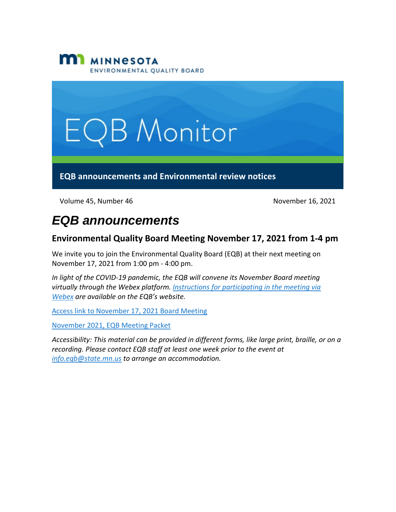



Volume 45, Number 46 November 16, 2021

## *EQB announcements*

#### **Environmental Quality Board Meeting November 17, 2021 from 1-4 pm**

We invite you to join the Environmental Quality Board (EQB) at their next meeting on November 17, 2021 from 1:00 pm - 4:00 pm.

*In light of the COVID-19 pandemic, the EQB will convene its November Board meeting virtually through the Webex platform. [Instructions for participating in the meeting via](https://www.eqb.state.mn.us/sites/default/files/EQB%20Guide%20to%20WebEx%20Participation.pdf)  [Webex](https://www.eqb.state.mn.us/sites/default/files/EQB%20Guide%20to%20WebEx%20Participation.pdf) are available on the EQB's website.* 

[Access link to November 17, 2021 Board Meeting](https://minnesota.webex.com/minnesota/j.php?MTID=m1af156cb4c9d5917078ecbd3439ee1f9)

[November 2021, EQB Meeting Packet](https://www.eqb.state.mn.us/sites/default/files/documents/November%202021%20Environmental%20Quality%20Board%20Packet.pdf)

*Accessibility: This material can be provided in different forms, like large print, braille, or on a recording. Please contact EQB staff at least one week prior to the event at [info.eqb@state.mn.us](mailto:info.eqb@state.mn.us) to arrange an accommodation.*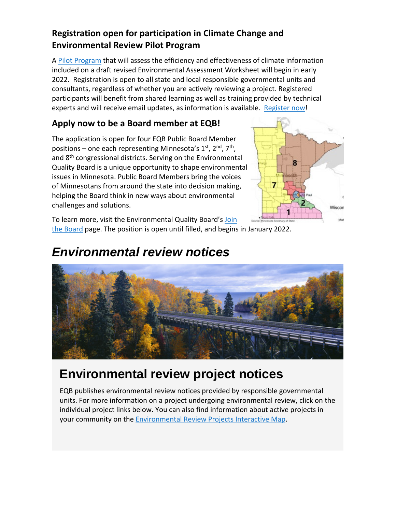#### **Registration open for participation in Climate Change and Environmental Review Pilot Program**

A [Pilot Program](https://www.eqb.state.mn.us/content/climate-change-and-environmental-review-pilot-program) that will assess the efficiency and effectiveness of climate information included on a draft revised Environmental Assessment Worksheet will begin in early 2022. Registration is open to all state and local responsible governmental units and consultants, regardless of whether you are actively reviewing a project. Registered participants will benefit from shared learning as well as training provided by technical experts and will receive email updates, as information is available. [Register now!](https://survey.mn.gov/s.asp?k=163603591800)

### **Apply now to be a Board member at EQB!**

The application is open for four EQB Public Board Member positions – one each representing Minnesota's  $1<sup>st</sup>$ ,  $2<sup>nd</sup>$ ,  $7<sup>th</sup>$ , and 8th congressional districts. Serving on the Environmental Quality Board is a unique opportunity to shape environmental issues in Minnesota. Public Board Members bring the voices of Minnesotans from around the state into decision making, helping the Board think in new ways about environmental challenges and solutions.



To learn more, visit the Environmental Quality Board's [Join](https://www.eqb.state.mn.us/join-board)  [the Board](https://www.eqb.state.mn.us/join-board) page. The position is open until filled, and begins in January 2022.

### *Environmental review notices*



# **Environmental review project notices**

EQB publishes environmental review notices provided by responsible governmental units. For more information on a project undergoing environmental review, click on the individual project links below. You can also find information about active projects in your community on the [Environmental Review Projects Interactive Map.](https://gcc02.safelinks.protection.outlook.com/?url=https%3A%2F%2Fmpca.maps.arcgis.com%2Fapps%2Fwebappviewer%2Findex.html%3Fid%3D2cb4bf017b21490d9af80cb081a3a279&data=04%7C01%7CKatrina.Hapka%40state.mn.us%7Ca05d5ff5b01043d4e1f108d9a877e764%7Ceb14b04624c445198f26b89c2159828c%7C0%7C0%7C637726055213284757%7CUnknown%7CTWFpbGZsb3d8eyJWIjoiMC4wLjAwMDAiLCJQIjoiV2luMzIiLCJBTiI6Ik1haWwiLCJXVCI6Mn0%3D%7C3000&sdata=%2FAKLxMSHOZabVx8A1%2BWPbrjkh%2F54T2Rnud1aM9KcLn0%3D&reserved=0)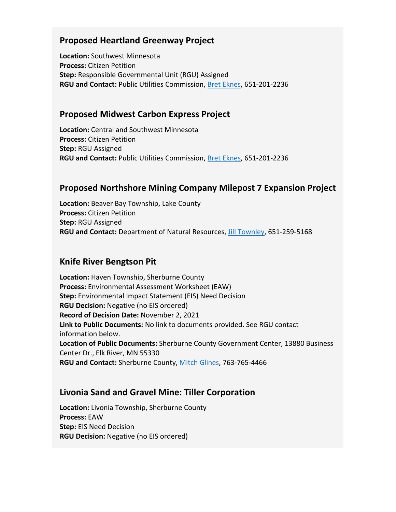#### **Proposed Heartland Greenway Project**

**Location:** Southwest Minnesota **Process:** Citizen Petition **Step:** Responsible Governmental Unit (RGU) Assigned **RGU and Contact:** Public Utilities Commission, [Bret Eknes,](mailto:bret.eknes@state.mn.us) 651-201-2236

#### **Proposed Midwest Carbon Express Project**

**Location:** Central and Southwest Minnesota **Process:** Citizen Petition **Step:** RGU Assigned **RGU and Contact:** Public Utilities Commission, [Bret Eknes,](mailto:bret.eknes@state.mn.us) 651-201-2236

#### **Proposed Northshore Mining Company Milepost 7 Expansion Project**

**Location:** Beaver Bay Township, Lake County **Process:** Citizen Petition **Step:** RGU Assigned **RGU and Contact:** Department of Natural Resources, [Jill Townley,](mailto:jill.townley@state.mn.us) 651-259-5168

#### **Knife River Bengtson Pit**

**Location:** Haven Township, Sherburne County **Process:** Environmental Assessment Worksheet (EAW) **Step:** Environmental Impact Statement (EIS) Need Decision **RGU Decision:** Negative (no EIS ordered) **Record of Decision Date:** November 2, 2021 **Link to Public Documents:** No link to documents provided. See RGU contact information below. **Location of Public Documents:** Sherburne County Government Center, 13880 Business Center Dr., Elk River, MN 55330 **RGU and Contact:** Sherburne County, [Mitch Glines,](mailto:mitch.glines@co.sherburne.mn.us) 763-765-4466

#### **Livonia Sand and Gravel Mine: Tiller Corporation**

**Location:** Livonia Township, Sherburne County **Process:** EAW **Step:** EIS Need Decision **RGU Decision:** Negative (no EIS ordered)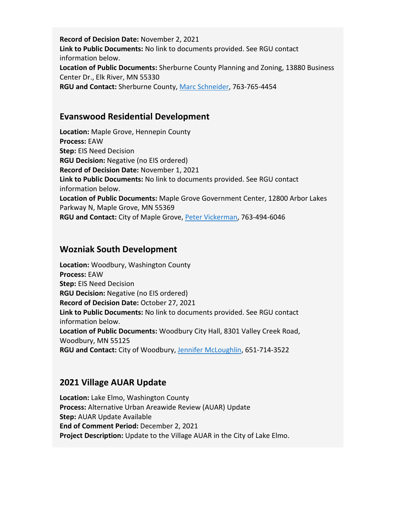**Record of Decision Date:** November 2, 2021 **Link to Public Documents:** No link to documents provided. See RGU contact information below. **Location of Public Documents:** Sherburne County Planning and Zoning, 13880 Business Center Dr., Elk River, MN 55330 **RGU and Contact:** Sherburne County, [Marc Schneider,](mailto:marc.schneider@co.sherburne.mn.us) 763-765-4454

#### **Evanswood Residential Development**

**Location:** Maple Grove, Hennepin County **Process:** EAW **Step:** EIS Need Decision **RGU Decision:** Negative (no EIS ordered) **Record of Decision Date:** November 1, 2021 **Link to Public Documents:** No link to documents provided. See RGU contact information below. **Location of Public Documents:** Maple Grove Government Center, 12800 Arbor Lakes Parkway N, Maple Grove, MN 55369 **RGU and Contact:** City of Maple Grove, [Peter Vickerman,](mailto:PVickerman@maplegrovemn.gov) 763-494-6046

#### **Wozniak South Development**

**Location:** Woodbury, Washington County **Process:** EAW **Step:** EIS Need Decision **RGU Decision:** Negative (no EIS ordered) **Record of Decision Date:** October 27, 2021 **Link to Public Documents:** No link to documents provided. See RGU contact information below. **Location of Public Documents:** Woodbury City Hall, 8301 Valley Creek Road, Woodbury, MN 55125 **RGU and Contact:** City of Woodbury, [Jennifer McLoughlin,](mailto:jennifer.mcloughlin@woodburymn.gov) 651-714-3522

#### **2021 Village AUAR Update**

**Location:** Lake Elmo, Washington County **Process:** Alternative Urban Areawide Review (AUAR) Update **Step:** AUAR Update Available **End of Comment Period:** December 2, 2021 **Project Description:** Update to the Village AUAR in the City of Lake Elmo.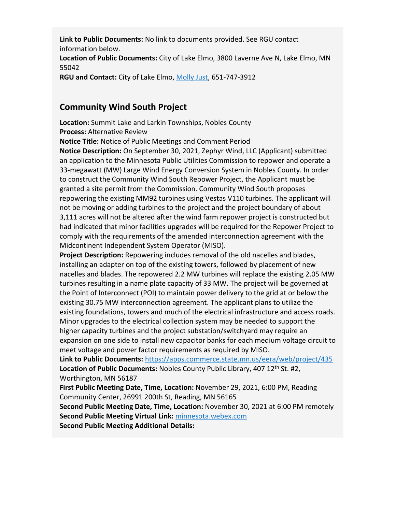**Link to Public Documents:** No link to documents provided. See RGU contact information below. **Location of Public Documents:** City of Lake Elmo, 3800 Laverne Ave N, Lake Elmo, MN 55042 **RGU and Contact:** City of Lake Elmo, [Molly Just,](mailto:mjust@lakeelmo.org) 651-747-3912

#### **Community Wind South Project**

**Location:** Summit Lake and Larkin Townships, Nobles County **Process:** Alternative Review

**Notice Title:** Notice of Public Meetings and Comment Period

**Notice Description:** On September 30, 2021, Zephyr Wind, LLC (Applicant) submitted an application to the Minnesota Public Utilities Commission to repower and operate a 33-megawatt (MW) Large Wind Energy Conversion System in Nobles County. In order to construct the Community Wind South Repower Project, the Applicant must be granted a site permit from the Commission. Community Wind South proposes repowering the existing MM92 turbines using Vestas V110 turbines. The applicant will not be moving or adding turbines to the project and the project boundary of about 3,111 acres will not be altered after the wind farm repower project is constructed but had indicated that minor facilities upgrades will be required for the Repower Project to comply with the requirements of the amended interconnection agreement with the Midcontinent Independent System Operator (MISO).

**Project Description:** Repowering includes removal of the old nacelles and blades, installing an adapter on top of the existing towers, followed by placement of new nacelles and blades. The repowered 2.2 MW turbines will replace the existing 2.05 MW turbines resulting in a name plate capacity of 33 MW. The project will be governed at the Point of Interconnect (POI) to maintain power delivery to the grid at or below the existing 30.75 MW interconnection agreement. The applicant plans to utilize the existing foundations, towers and much of the electrical infrastructure and access roads. Minor upgrades to the electrical collection system may be needed to support the higher capacity turbines and the project substation/switchyard may require an expansion on one side to install new capacitor banks for each medium voltage circuit to meet voltage and power factor requirements as required by MISO.

**Link to Public Documents:** <https://apps.commerce.state.mn.us/eera/web/project/435> Location of Public Documents: Nobles County Public Library, 407 12<sup>th</sup> St. #2, Worthington, MN 56187

**First Public Meeting Date, Time, Location:** November 29, 2021, 6:00 PM, Reading Community Center, 26991 200th St, Reading, MN 56165

**Second Public Meeting Date, Time, Location:** November 30, 2021 at 6:00 PM remotely **Second Public Meeting Virtual Link:** [minnesota.webex.com](https://minnesota.webex.com/) **Second Public Meeting Additional Details:**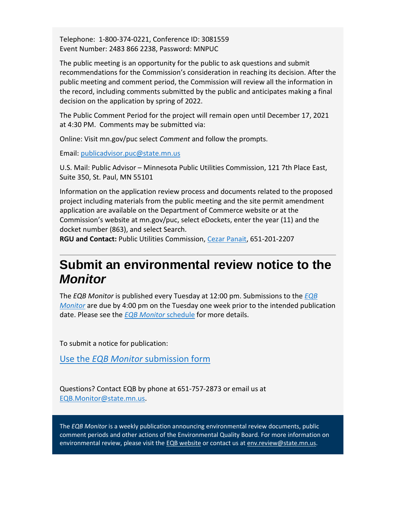Telephone: 1-800-374-0221, Conference ID: 3081559 Event Number: 2483 866 2238, Password: MNPUC

The public meeting is an opportunity for the public to ask questions and submit recommendations for the Commission's consideration in reaching its decision. After the public meeting and comment period, the Commission will review all the information in the record, including comments submitted by the public and anticipates making a final decision on the application by spring of 2022.

The Public Comment Period for the project will remain open until December 17, 2021 at 4:30 PM. Comments may be submitted via:

Online: Visit mn.gov/puc select *Comment* and follow the prompts.

Email: [publicadvisor.puc@state.mn.us](mailto:publicadvisor.puc@state.mn.us)

U.S. Mail: Public Advisor – Minnesota Public Utilities Commission, 121 7th Place East, Suite 350, St. Paul, MN 55101

Information on the application review process and documents related to the proposed project including materials from the public meeting and the site permit amendment application are available on the Department of Commerce website or at the Commission's website at mn.gov/puc, select eDockets, enter the year (11) and the docket number (863), and select Search.

**RGU and Contact:** Public Utilities Commission, [Cezar Panait,](mailto:cezar.panait@state.mn.us) 651-201-2207

### **Submit an environmental review notice to the**  *Monitor*

The *EQB Monitor* is published every Tuesday at 12:00 pm. Submissions to the *[EQB](https://www.eqb.state.mn.us/eqb-monitor)  [Monitor](https://www.eqb.state.mn.us/eqb-monitor)* are due by 4:00 pm on the Tuesday one week prior to the intended publication date. Please see the *[EQB Monitor](https://www.eqb.state.mn.us/2021-eqb-monitor-schedule)* schedule for more details.

To submit a notice for publication:

Use the *EQB Monitor* [submission form](https://survey.mn.gov/s.asp?k=160521422466)

Questions? Contact EQB by phone at 651-757-2873 or email us at [EQB.Monitor@state.mn.us.](mailto:EQB.Monitor@state.mn.us)

The *EQB Monitor* is a weekly publication announcing environmental review documents, public comment periods and other actions of the Environmental Quality Board. For more information on environmental review, please visit the [EQB website](https://www.eqb.state.mn.us/) or contact us at [env.review@state.mn.us.](mailto:env.review@state.mn.us)